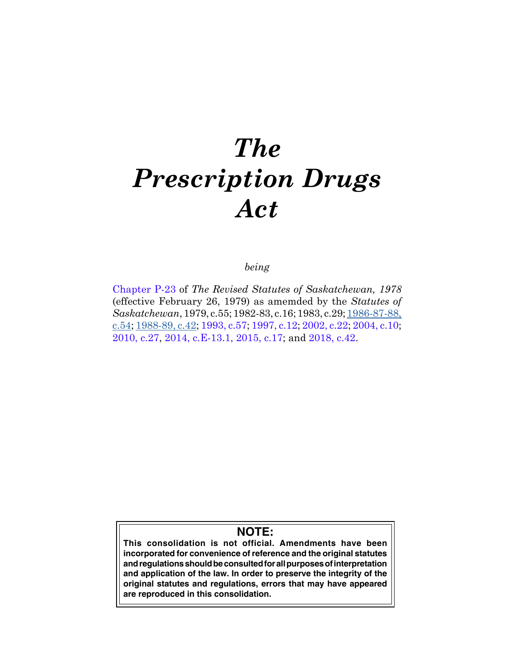# *The Prescription Drugs Act*

*being*

[Chapter P-23](https://publications.saskatchewan.ca:443/api/v1/products/65208/formats/72602/download) of *The Revised Statutes of Saskatchewan, 1978* (effective February 26, 1979) as amemded by the *Statutes of Saskatchewan*, 1979, c.55; 1982-83, c.16; 1983, c.29; [1986-87-88,](https://publications.saskatchewan.ca:443/api/v1/products/104220/formats/115955/download)  [c.54;](https://publications.saskatchewan.ca:443/api/v1/products/104220/formats/115955/download) [1988-89, c.42;](https://publications.saskatchewan.ca:443/api/v1/products/103564/formats/114897/download) [1993, c.57](https://publications.saskatchewan.ca:443/api/v1/products/26652/formats/33872/download); [1997, c.12](https://publications.saskatchewan.ca:443/api/v1/products/3661/formats/6912/download); [2002, c.22](https://publications.saskatchewan.ca:443/api/v1/products/4309/formats/8208/download); [2004, c.10](https://publications.saskatchewan.ca:443/api/v1/products/9328/formats/14041/download); [2010, c.27,](https://publications.saskatchewan.ca:443/api/v1/products/30317/formats/37311/download) [2014, c.E-13.1,](https://publications.saskatchewan.ca:443/api/v1/products/70626/formats/78515/download) [2015, c.17;](https://publications.saskatchewan.ca:443/api/v1/products/73240/formats/81838/download) and [2018, c.42.](https://publications.saskatchewan.ca:443/api/v1/products/90531/formats/107441/download)

## **NOTE:**

**This consolidation is not official. Amendments have been incorporated for convenience of reference and the original statutes and regulations should be consulted for all purposes of interpretation and application of the law. In order to preserve the integrity of the original statutes and regulations, errors that may have appeared are reproduced in this consolidation.**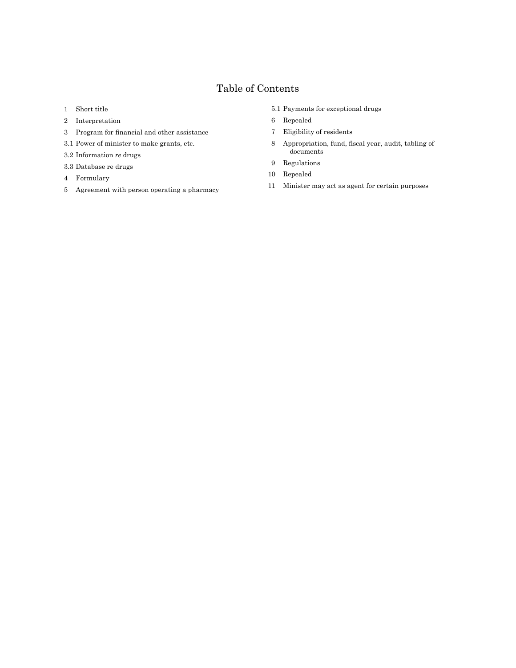# Table of Contents

- Short title
- Interpretation
- Program for financial and other assistance
- 3.1 Power of minister to make grants, etc.
- 3.2 Information *re* drugs
- 3.3 Database re drugs
- Formulary
- Agreement with person operating a pharmacy
- 5.1 Payments for exceptional drugs
- Repealed
- Eligibility of residents
- Appropriation, fund, fiscal year, audit, tabling of documents
- Regulations
- Repealed
- Minister may act as agent for certain purposes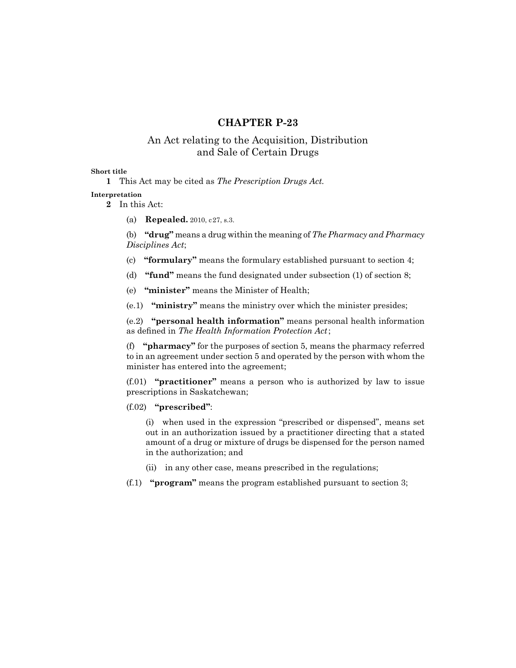### **CHAPTER P-23**

## An Act relating to the Acquisition, Distribution and Sale of Certain Drugs

#### **Short title**

**1** This Act may be cited as *The Prescription Drugs Act.*

**Interpretation**

**2** In this Act:

(a) **Repealed.** 2010, c27, s.3.

(b) **"drug"** means a drug within the meaning of *The Pharmacy and Pharmacy Disciplines Act*;

- (c) **"formulary"** means the formulary established pursuant to section 4;
- (d) **"fund"** means the fund designated under subsection (1) of section 8;
- (e) **"minister"** means the Minister of Health;
- (e.1) **"ministry"** means the ministry over which the minister presides;

(e.2) **"personal health information"** means personal health information as defined in *The Health Information Protection Act*;

(f) **"pharmacy"** for the purposes of section 5, means the pharmacy referred to in an agreement under section 5 and operated by the person with whom the minister has entered into the agreement;

(f.01) **"practitioner"** means a person who is authorized by law to issue prescriptions in Saskatchewan;

(f.02) **"prescribed"**:

(i) when used in the expression "prescribed or dispensed", means set out in an authorization issued by a practitioner directing that a stated amount of a drug or mixture of drugs be dispensed for the person named in the authorization; and

(ii) in any other case, means prescribed in the regulations;

(f.1) **"program"** means the program established pursuant to section 3;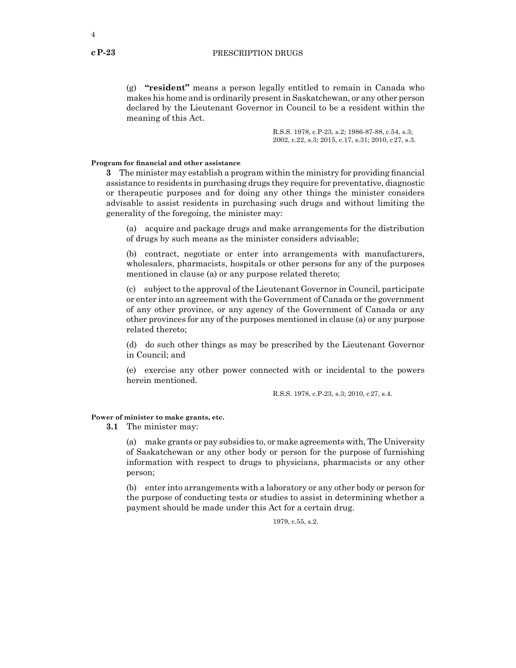(g) **"resident"** means a person legally entitled to remain in Canada who makes his home and is ordinarily present in Saskatchewan, or any other person declared by the Lieutenant Governor in Council to be a resident within the meaning of this Act.

> R.S.S. 1978, c.P-23, s.2; 1986-87-88, c.54, s.3; 2002, c.22, s.3; 2015, c.17, s.31; 2010, c27, s.3.

#### **Program for financial and other assistance**

**3** The minister may establish a program within the ministry for providing financial assistance to residents in purchasing drugs they require for preventative, diagnostic or therapeutic purposes and for doing any other things the minister considers advisable to assist residents in purchasing such drugs and without limiting the generality of the foregoing, the minister may:

(a) acquire and package drugs and make arrangements for the distribution of drugs by such means as the minister considers advisable;

(b) contract, negotiate or enter into arrangements with manufacturers, wholesalers, pharmacists, hospitals or other persons for any of the purposes mentioned in clause (a) or any purpose related thereto;

(c) subject to the approval of the Lieutenant Governor in Council, participate or enter into an agreement with the Government of Canada or the government of any other province, or any agency of the Government of Canada or any other provinces for any of the purposes mentioned in clause (a) or any purpose related thereto;

(d) do such other things as may be prescribed by the Lieutenant Governor in Council; and

(e) exercise any other power connected with or incidental to the powers herein mentioned.

R.S.S. 1978, c.P-23, s.3; 2010, c27, s.4.

**Power of minister to make grants, etc.**

**3.1** The minister may:

(a) make grants or pay subsidies to, or make agreements with, The University of Saskatchewan or any other body or person for the purpose of furnishing information with respect to drugs to physicians, pharmacists or any other person;

(b) enter into arrangements with a laboratory or any other body or person for the purpose of conducting tests or studies to assist in determining whether a payment should be made under this Act for a certain drug.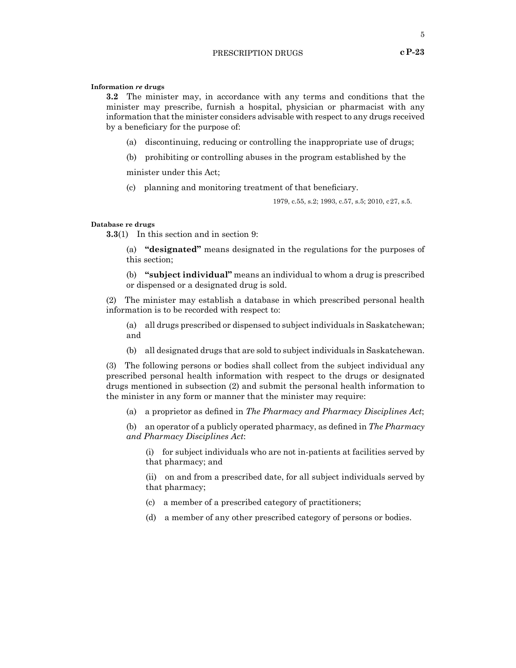5

**Information** *re* **drugs**

**3.2** The minister may, in accordance with any terms and conditions that the minister may prescribe, furnish a hospital, physician or pharmacist with any information that the minister considers advisable with respect to any drugs received by a beneficiary for the purpose of:

- (a) discontinuing, reducing or controlling the inappropriate use of drugs;
- (b) prohibiting or controlling abuses in the program established by the

minister under this Act;

(c) planning and monitoring treatment of that beneficiary.

1979, c.55, s.2; 1993, c.57, s.5; 2010, c27, s.5.

#### **Database re drugs**

**3.3**(1) In this section and in section 9:

(a) **"designated"** means designated in the regulations for the purposes of this section;

(b) **"subject individual"** means an individual to whom a drug is prescribed or dispensed or a designated drug is sold.

(2) The minister may establish a database in which prescribed personal health information is to be recorded with respect to:

(a) all drugs prescribed or dispensed to subject individuals in Saskatchewan; and

(b) all designated drugs that are sold to subject individuals in Saskatchewan.

(3) The following persons or bodies shall collect from the subject individual any prescribed personal health information with respect to the drugs or designated drugs mentioned in subsection (2) and submit the personal health information to the minister in any form or manner that the minister may require:

(a) a proprietor as defined in *The Pharmacy and Pharmacy Disciplines Act*;

(b) an operator of a publicly operated pharmacy, as defined in *The Pharmacy and Pharmacy Disciplines Act*:

(i) for subject individuals who are not in-patients at facilities served by that pharmacy; and

(ii) on and from a prescribed date, for all subject individuals served by that pharmacy;

- (c) a member of a prescribed category of practitioners;
- (d) a member of any other prescribed category of persons or bodies.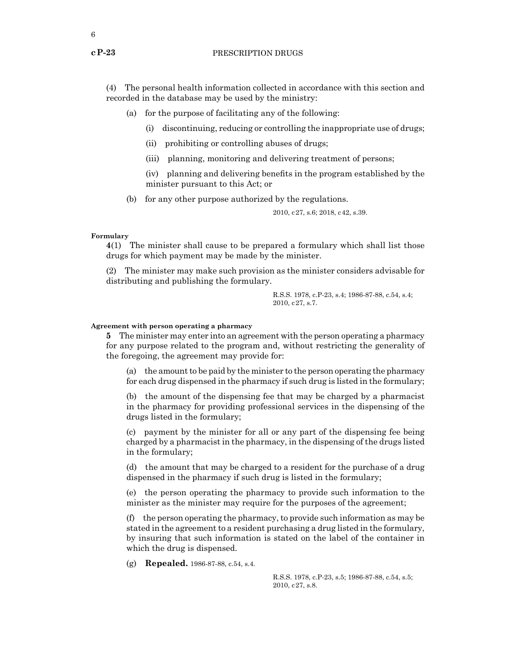(4) The personal health information collected in accordance with this section and recorded in the database may be used by the ministry:

- (a) for the purpose of facilitating any of the following:
	- (i) discontinuing, reducing or controlling the inappropriate use of drugs;
	- (ii) prohibiting or controlling abuses of drugs;
	- (iii) planning, monitoring and delivering treatment of persons;

(iv) planning and delivering benefits in the program established by the minister pursuant to this Act; or

(b) for any other purpose authorized by the regulations.

2010, c27, s.6; 2018, c42, s.39.

#### **Formulary**

**4**(1) The minister shall cause to be prepared a formulary which shall list those drugs for which payment may be made by the minister.

(2) The minister may make such provision as the minister considers advisable for distributing and publishing the formulary.

> R.S.S. 1978, c.P-23, s.4; 1986-87-88, c.54, s.4; 2010, c27, s.7.

#### **Agreement with person operating a pharmacy**

**5** The minister may enter into an agreement with the person operating a pharmacy for any purpose related to the program and, without restricting the generality of the foregoing, the agreement may provide for:

(a) the amount to be paid by the minister to the person operating the pharmacy for each drug dispensed in the pharmacy if such drug is listed in the formulary;

(b) the amount of the dispensing fee that may be charged by a pharmacist in the pharmacy for providing professional services in the dispensing of the drugs listed in the formulary;

(c) payment by the minister for all or any part of the dispensing fee being charged by a pharmacist in the pharmacy, in the dispensing of the drugs listed in the formulary;

(d) the amount that may be charged to a resident for the purchase of a drug dispensed in the pharmacy if such drug is listed in the formulary;

(e) the person operating the pharmacy to provide such information to the minister as the minister may require for the purposes of the agreement;

(f) the person operating the pharmacy, to provide such information as may be stated in the agreement to a resident purchasing a drug listed in the formulary, by insuring that such information is stated on the label of the container in which the drug is dispensed.

(g) **Repealed.** 1986-87-88, c.54, s.4.

R.S.S. 1978, c.P-23, s.5; 1986-87-88, c.54, s.5; 2010, c27, s.8.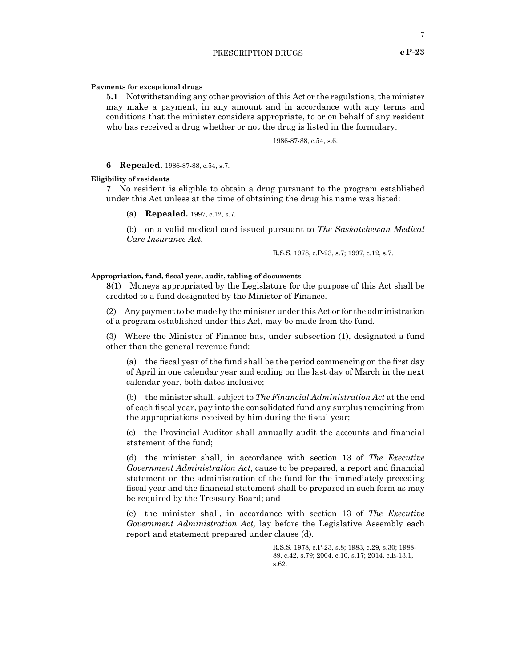**5.1** Notwithstanding any other provision of this Act or the regulations, the minister may make a payment, in any amount and in accordance with any terms and conditions that the minister considers appropriate, to or on behalf of any resident who has received a drug whether or not the drug is listed in the formulary.

1986-87-88, c.54, s.6.

#### **6 Repealed.** 1986-87-88, c.54, s.7.

#### **Eligibility of residents**

**7** No resident is eligible to obtain a drug pursuant to the program established under this Act unless at the time of obtaining the drug his name was listed:

(a) **Repealed.** 1997, c.12, s.7.

(b) on a valid medical card issued pursuant to *The Saskatchewan Medical Care Insurance Act.*

R.S.S. 1978, c.P-23, s.7; 1997, c.12, s.7.

#### **Appropriation, fund, fiscal year, audit, tabling of documents**

**8**(1) Moneys appropriated by the Legislature for the purpose of this Act shall be credited to a fund designated by the Minister of Finance.

(2) Any payment to be made by the minister under this Act or for the administration of a program established under this Act, may be made from the fund.

(3) Where the Minister of Finance has, under subsection (1), designated a fund other than the general revenue fund:

(a) the fiscal year of the fund shall be the period commencing on the first day of April in one calendar year and ending on the last day of March in the next calendar year, both dates inclusive;

(b) the minister shall, subject to *The Financial Administration Act* at the end of each fiscal year, pay into the consolidated fund any surplus remaining from the appropriations received by him during the fiscal year;

(c) the Provincial Auditor shall annually audit the accounts and financial statement of the fund;

(d) the minister shall, in accordance with section 13 of *The Executive Government Administration Act,* cause to be prepared, a report and financial statement on the administration of the fund for the immediately preceding fiscal year and the financial statement shall be prepared in such form as may be required by the Treasury Board; and

(e) the minister shall, in accordance with section 13 of *The Executive Government Administration Act,* lay before the Legislative Assembly each report and statement prepared under clause (d).

> R.S.S. 1978, c.P-23, s.8; 1983, c.29, s.30; 1988- 89, c.42, s.79; 2004, c.10, s.17; 2014, c.E-13.1, s.62.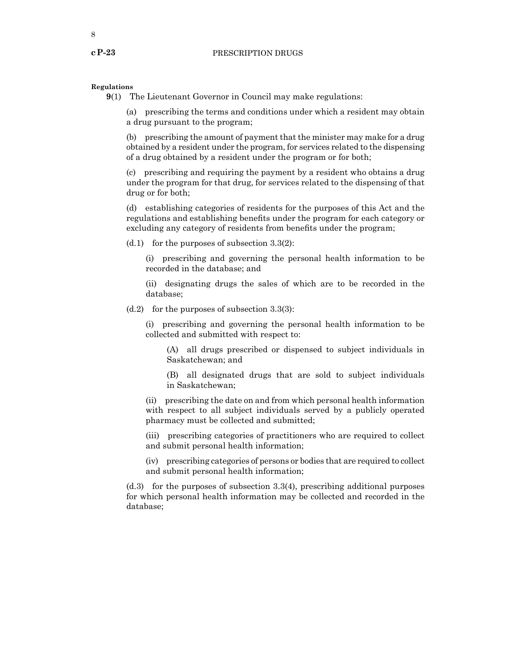#### **cP-23** PRESCRIPTION DRUGS

8

#### **Regulations**

**9**(1) The Lieutenant Governor in Council may make regulations:

(a) prescribing the terms and conditions under which a resident may obtain a drug pursuant to the program;

(b) prescribing the amount of payment that the minister may make for a drug obtained by a resident under the program, for services related to the dispensing of a drug obtained by a resident under the program or for both;

(c) prescribing and requiring the payment by a resident who obtains a drug under the program for that drug, for services related to the dispensing of that drug or for both;

(d) establishing categories of residents for the purposes of this Act and the regulations and establishing benefits under the program for each category or excluding any category of residents from benefits under the program;

(d.1) for the purposes of subsection  $3.3(2)$ :

(i) prescribing and governing the personal health information to be recorded in the database; and

(ii) designating drugs the sales of which are to be recorded in the database;

 $(d.2)$  for the purposes of subsection 3.3(3):

(i) prescribing and governing the personal health information to be collected and submitted with respect to:

(A) all drugs prescribed or dispensed to subject individuals in Saskatchewan; and

(B) all designated drugs that are sold to subject individuals in Saskatchewan;

(ii) prescribing the date on and from which personal health information with respect to all subject individuals served by a publicly operated pharmacy must be collected and submitted;

(iii) prescribing categories of practitioners who are required to collect and submit personal health information;

(iv) prescribing categories of persons or bodies that are required to collect and submit personal health information;

(d.3) for the purposes of subsection 3.3(4), prescribing additional purposes for which personal health information may be collected and recorded in the database;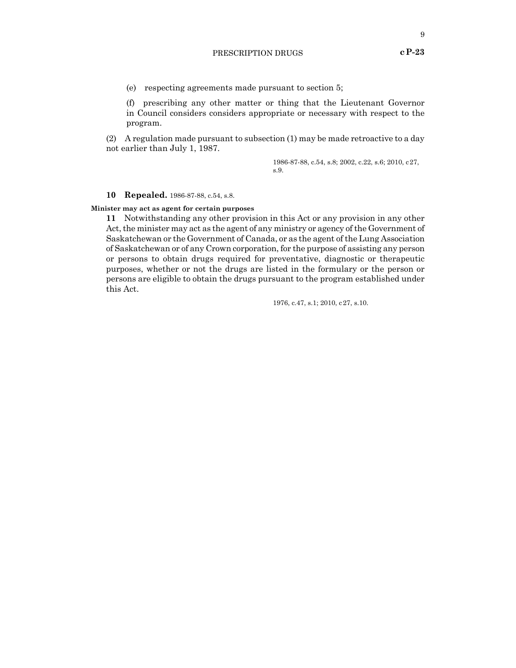(e) respecting agreements made pursuant to section 5;

(f) prescribing any other matter or thing that the Lieutenant Governor in Council considers considers appropriate or necessary with respect to the program.

(2) A regulation made pursuant to subsection (1) may be made retroactive to a day not earlier than July 1, 1987.

> 1986-87-88, c.54, s.8; 2002, c.22, s.6; 2010, c27, s.9.

#### **10 Repealed.** 1986-87-88, c.54, s.8.

#### **Minister may act as agent for certain purposes**

**11** Notwithstanding any other provision in this Act or any provision in any other Act, the minister may act as the agent of any ministry or agency of the Government of Saskatchewan or the Government of Canada, or as the agent of the Lung Association of Saskatchewan or of any Crown corporation, for the purpose of assisting any person or persons to obtain drugs required for preventative, diagnostic or therapeutic purposes, whether or not the drugs are listed in the formulary or the person or persons are eligible to obtain the drugs pursuant to the program established under this Act.

1976, c.47, s.1; 2010, c27, s.10.